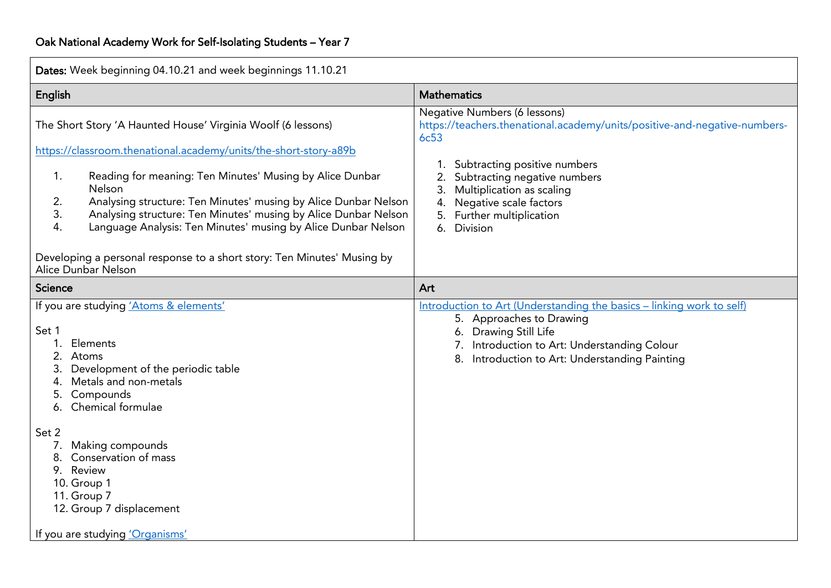| Dates: Week beginning 04.10.21 and week beginnings 11.10.21                                                                                                                                                                                                                                                                                                                                                                                                                                                             |                                                                                                                                                                                                                                                                                                                   |
|-------------------------------------------------------------------------------------------------------------------------------------------------------------------------------------------------------------------------------------------------------------------------------------------------------------------------------------------------------------------------------------------------------------------------------------------------------------------------------------------------------------------------|-------------------------------------------------------------------------------------------------------------------------------------------------------------------------------------------------------------------------------------------------------------------------------------------------------------------|
| English                                                                                                                                                                                                                                                                                                                                                                                                                                                                                                                 | <b>Mathematics</b>                                                                                                                                                                                                                                                                                                |
| The Short Story 'A Haunted House' Virginia Woolf (6 lessons)<br>https://classroom.thenational.academy/units/the-short-story-a89b<br>1.<br>Reading for meaning: Ten Minutes' Musing by Alice Dunbar<br><b>Nelson</b><br>Analysing structure: Ten Minutes' musing by Alice Dunbar Nelson<br>2.<br>Analysing structure: Ten Minutes' musing by Alice Dunbar Nelson<br>3.<br>Language Analysis: Ten Minutes' musing by Alice Dunbar Nelson<br>4.<br>Developing a personal response to a short story: Ten Minutes' Musing by | Negative Numbers (6 lessons)<br>https://teachers.thenational.academy/units/positive-and-negative-numbers-<br><b>6c53</b><br>1. Subtracting positive numbers<br>Subtracting negative numbers<br>Multiplication as scaling<br>3.<br>Negative scale factors<br>4.<br>Further multiplication<br>6.<br><b>Division</b> |
| Alice Dunbar Nelson                                                                                                                                                                                                                                                                                                                                                                                                                                                                                                     |                                                                                                                                                                                                                                                                                                                   |
| Science                                                                                                                                                                                                                                                                                                                                                                                                                                                                                                                 | Art                                                                                                                                                                                                                                                                                                               |
| If you are studying 'Atoms & elements'<br>Set 1<br>1.<br>Elements<br>2.<br>Atoms<br>Development of the periodic table<br>3.<br>Metals and non-metals<br>4.<br>Compounds<br>5.<br>6. Chemical formulae                                                                                                                                                                                                                                                                                                                   | Introduction to Art (Understanding the basics - linking work to self)<br>5. Approaches to Drawing<br>6. Drawing Still Life<br>Introduction to Art: Understanding Colour<br>Introduction to Art: Understanding Painting<br>8.                                                                                      |
| Set 2<br>Making compounds<br>7.<br>Conservation of mass<br>9. Review<br>10. Group 1<br>11. Group 7<br>12. Group 7 displacement<br>If you are studying 'Organisms'                                                                                                                                                                                                                                                                                                                                                       |                                                                                                                                                                                                                                                                                                                   |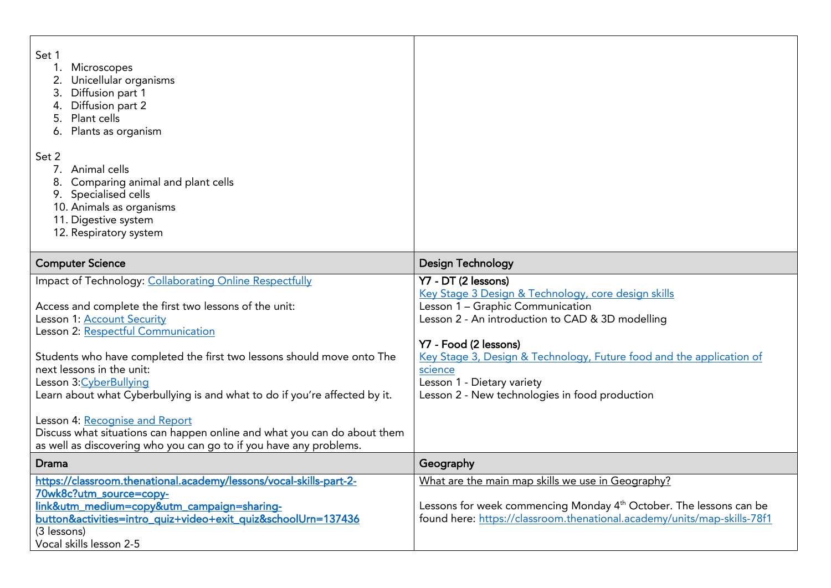| Set 1<br>Microscopes<br>Unicellular organisms<br>Diffusion part 1<br>Diffusion part 2<br>Plant cells<br>Plants as organism<br>Set 2<br>Animal cells<br>Comparing animal and plant cells<br>Specialised cells<br>10. Animals as organisms<br>11. Digestive system<br>12. Respiratory system                                                                                                                                                                                                                                                                                                 |                                                                                                                                                                                                                                                                                                                                                                |
|--------------------------------------------------------------------------------------------------------------------------------------------------------------------------------------------------------------------------------------------------------------------------------------------------------------------------------------------------------------------------------------------------------------------------------------------------------------------------------------------------------------------------------------------------------------------------------------------|----------------------------------------------------------------------------------------------------------------------------------------------------------------------------------------------------------------------------------------------------------------------------------------------------------------------------------------------------------------|
| <b>Computer Science</b>                                                                                                                                                                                                                                                                                                                                                                                                                                                                                                                                                                    | <b>Design Technology</b>                                                                                                                                                                                                                                                                                                                                       |
| Impact of Technology: Collaborating Online Respectfully<br>Access and complete the first two lessons of the unit:<br>Lesson 1: Account Security<br>Lesson 2: Respectful Communication<br>Students who have completed the first two lessons should move onto The<br>next lessons in the unit:<br>Lesson 3: Cyber Bullying<br>Learn about what Cyberbullying is and what to do if you're affected by it.<br>Lesson 4: Recognise and Report<br>Discuss what situations can happen online and what you can do about them<br>as well as discovering who you can go to if you have any problems. | Y7 - DT (2 lessons)<br>Key Stage 3 Design & Technology, core design skills<br>Lesson 1 - Graphic Communication<br>Lesson 2 - An introduction to CAD & 3D modelling<br>Y7 - Food (2 lessons)<br>Key Stage 3, Design & Technology, Future food and the application of<br>science<br>Lesson 1 - Dietary variety<br>Lesson 2 - New technologies in food production |
| <b>Drama</b>                                                                                                                                                                                                                                                                                                                                                                                                                                                                                                                                                                               | Geography                                                                                                                                                                                                                                                                                                                                                      |
| https://classroom.thenational.academy/lessons/vocal-skills-part-2-<br>70wk8c?utm_source=copy-<br>link&utm_medium=copy&utm_campaign=sharing-<br>button&activities=intro_quiz+video+exit_quiz&schoolUrn=137436<br>(3 lessons)<br>Vocal skills lesson 2-5                                                                                                                                                                                                                                                                                                                                     | What are the main map skills we use in Geography?<br>Lessons for week commencing Monday 4 <sup>th</sup> October. The lessons can be<br>found here: https://classroom.thenational.academy/units/map-skills-78f1                                                                                                                                                 |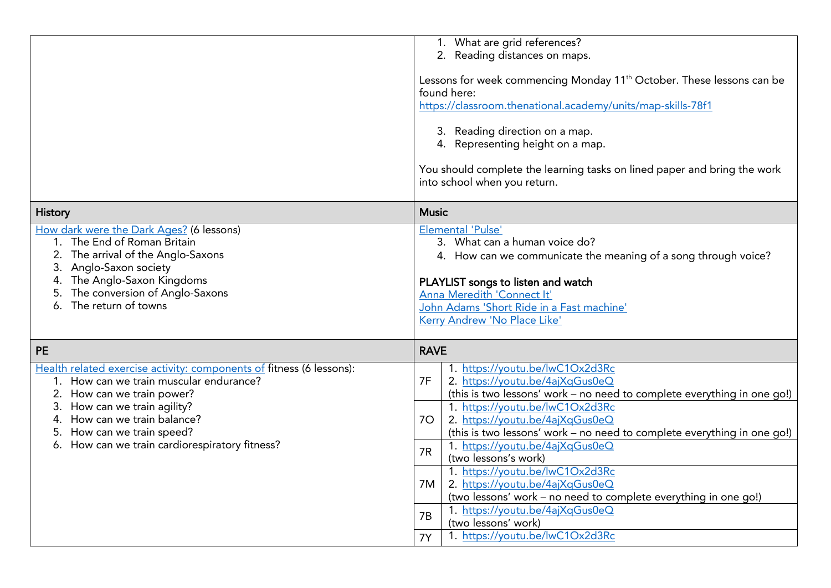|                                                                                                                                                                                                                                                                                                              | 1. What are grid references?<br>2. Reading distances on maps.<br>Lessons for week commencing Monday 11 <sup>th</sup> October. These lessons can be<br>found here:<br>https://classroom.thenational.academy/units/map-skills-78f1<br>3. Reading direction on a map.<br>4. Representing height on a map.<br>You should complete the learning tasks on lined paper and bring the work<br>into school when you return.                                                                                                                                                                                                                         |
|--------------------------------------------------------------------------------------------------------------------------------------------------------------------------------------------------------------------------------------------------------------------------------------------------------------|--------------------------------------------------------------------------------------------------------------------------------------------------------------------------------------------------------------------------------------------------------------------------------------------------------------------------------------------------------------------------------------------------------------------------------------------------------------------------------------------------------------------------------------------------------------------------------------------------------------------------------------------|
| <b>History</b>                                                                                                                                                                                                                                                                                               | <b>Music</b>                                                                                                                                                                                                                                                                                                                                                                                                                                                                                                                                                                                                                               |
| How dark were the Dark Ages? (6 lessons)<br>1. The End of Roman Britain<br>The arrival of the Anglo-Saxons<br>3.<br>Anglo-Saxon society<br>The Anglo-Saxon Kingdoms<br>The conversion of Anglo-Saxons<br>The return of towns                                                                                 | <b>Elemental 'Pulse'</b><br>3. What can a human voice do?<br>4. How can we communicate the meaning of a song through voice?<br>PLAYLIST songs to listen and watch<br>Anna Meredith 'Connect It'<br>John Adams 'Short Ride in a Fast machine'<br>Kerry Andrew 'No Place Like'                                                                                                                                                                                                                                                                                                                                                               |
| <b>PE</b>                                                                                                                                                                                                                                                                                                    | <b>RAVE</b>                                                                                                                                                                                                                                                                                                                                                                                                                                                                                                                                                                                                                                |
| Health related exercise activity: components of fitness (6 lessons):<br>1. How can we train muscular endurance?<br>2.<br>How can we train power?<br>How can we train agility?<br>3.<br>How can we train balance?<br>4.<br>How can we train speed?<br>5.<br>How can we train cardiorespiratory fitness?<br>6. | 1. https://youtu.be/lwC1Ox2d3Rc<br>7F<br>2. https://youtu.be/4ajXqGus0eQ<br>(this is two lessons' work - no need to complete everything in one go!)<br>1. https://youtu.be/lwC1Ox2d3Rc<br>2. https://youtu.be/4ajXqGus0eQ<br>70<br>(this is two lessons' work - no need to complete everything in one go!)<br>1. https://youtu.be/4ajXqGus0eQ<br>7R<br>(two lessons's work)<br>1. https://youtu.be/lwC1Ox2d3Rc<br>2. https://youtu.be/4ajXqGus0eQ<br>7M<br>(two lessons' work - no need to complete everything in one go!)<br>1. https://youtu.be/4ajXqGus0eQ<br>7B<br>(two lessons' work)<br>1. https://youtu.be/lwC1Ox2d3Rc<br><b>7Y</b> |